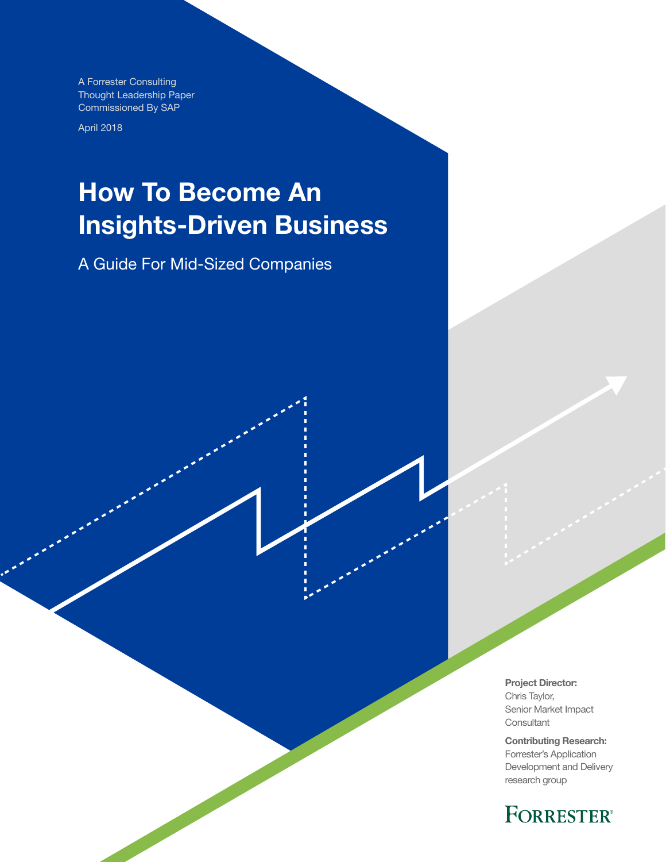A Forrester Consulting Thought Leadership Paper Commissioned By SAP

April 2018

# How To Become An Insights-Driven Business

A Guide For Mid-Sized Companies

Project Director: Chris Taylor, Senior Market Impact **Consultant** 

Contributing Research: Forrester's Application Development and Delivery research group

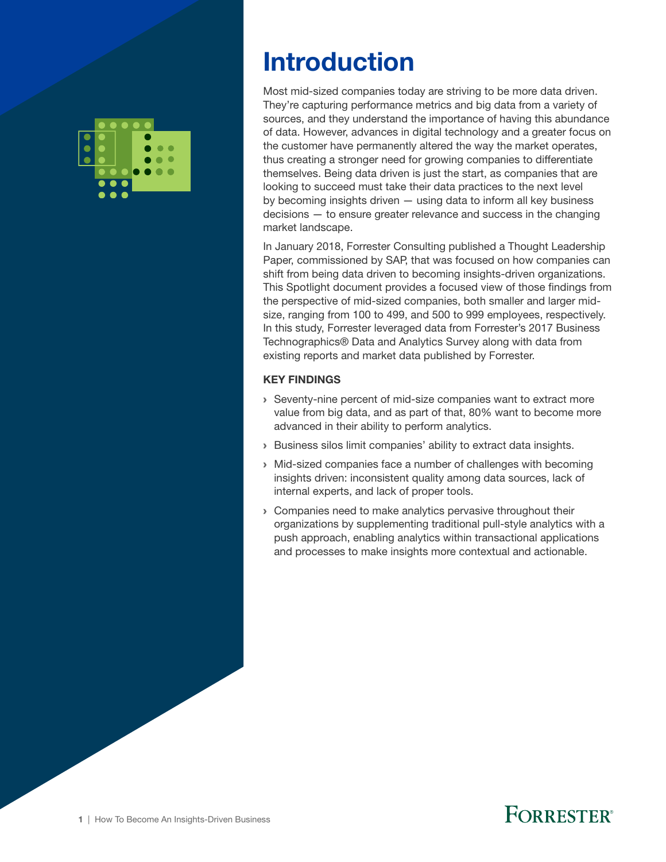

## Introduction

Most mid-sized companies today are striving to be more data driven. They're capturing performance metrics and big data from a variety of sources, and they understand the importance of having this abundance of data. However, advances in digital technology and a greater focus on the customer have permanently altered the way the market operates, thus creating a stronger need for growing companies to differentiate themselves. Being data driven is just the start, as companies that are looking to succeed must take their data practices to the next level by becoming insights driven — using data to inform all key business decisions — to ensure greater relevance and success in the changing market landscape.

In January 2018, Forrester Consulting published a Thought Leadership Paper, commissioned by SAP, that was focused on how companies can shift from being data driven to becoming insights-driven organizations. This Spotlight document provides a focused view of those findings from the perspective of mid-sized companies, both smaller and larger midsize, ranging from 100 to 499, and 500 to 999 employees, respectively. In this study, Forrester leveraged data from Forrester's 2017 Business Technographics® Data and Analytics Survey along with data from existing reports and market data published by Forrester.

#### KEY FINDINGS

- › Seventy-nine percent of mid-size companies want to extract more value from big data, and as part of that, 80% want to become more advanced in their ability to perform analytics.
- › Business silos limit companies' ability to extract data insights.
- › Mid-sized companies face a number of challenges with becoming insights driven: inconsistent quality among data sources, lack of internal experts, and lack of proper tools.
- › Companies need to make analytics pervasive throughout their organizations by supplementing traditional pull-style analytics with a push approach, enabling analytics within transactional applications and processes to make insights more contextual and actionable.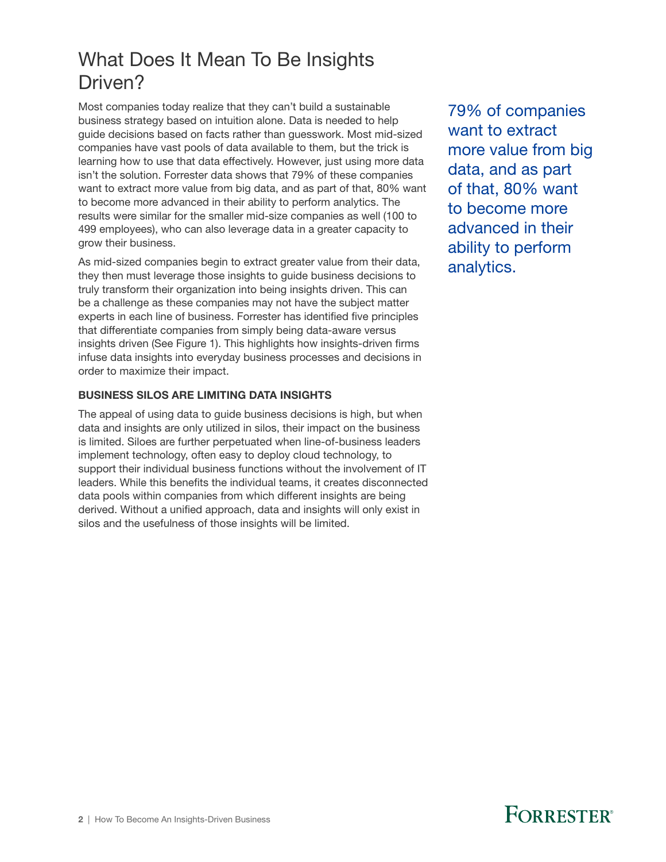### What Does It Mean To Be Insights Driven?

Most companies today realize that they can't build a sustainable business strategy based on intuition alone. Data is needed to help guide decisions based on facts rather than guesswork. Most mid-sized companies have vast pools of data available to them, but the trick is learning how to use that data effectively. However, just using more data isn't the solution. Forrester data shows that 79% of these companies want to extract more value from big data, and as part of that, 80% want to become more advanced in their ability to perform analytics. The results were similar for the smaller mid-size companies as well (100 to 499 employees), who can also leverage data in a greater capacity to grow their business.

As mid-sized companies begin to extract greater value from their data, they then must leverage those insights to guide business decisions to truly transform their organization into being insights driven. This can be a challenge as these companies may not have the subject matter experts in each line of business. Forrester has identified five principles that differentiate companies from simply being data-aware versus insights driven (See Figure 1). This highlights how insights-driven firms infuse data insights into everyday business processes and decisions in order to maximize their impact.

#### BUSINESS SILOS ARE LIMITING DATA INSIGHTS

The appeal of using data to guide business decisions is high, but when data and insights are only utilized in silos, their impact on the business is limited. Siloes are further perpetuated when line-of-business leaders implement technology, often easy to deploy cloud technology, to support their individual business functions without the involvement of IT leaders. While this benefits the individual teams, it creates disconnected data pools within companies from which different insights are being derived. Without a unified approach, data and insights will only exist in silos and the usefulness of those insights will be limited.

79% of companies want to extract more value from big data, and as part of that, 80% want to become more advanced in their ability to perform analytics.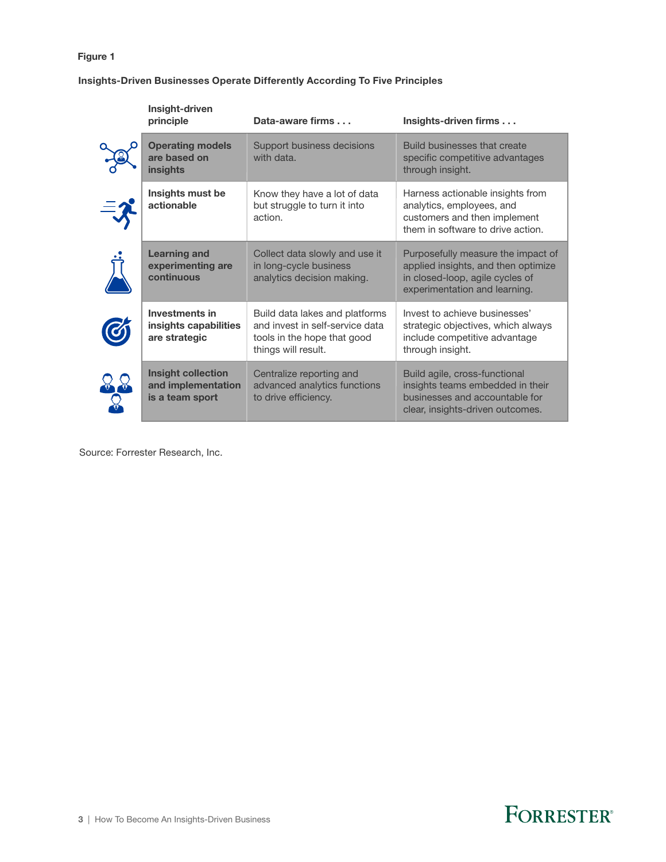#### Figure 1

#### Insights-Driven Businesses Operate Differently According To Five Principles

| Insight-driven<br>principle                                        | Data-aware firms                                                                                                        | Insights-driven firms                                                                                                                         |
|--------------------------------------------------------------------|-------------------------------------------------------------------------------------------------------------------------|-----------------------------------------------------------------------------------------------------------------------------------------------|
| <b>Operating models</b><br>are based on<br><b>insights</b>         | Support business decisions<br>with data.                                                                                | Build businesses that create<br>specific competitive advantages<br>through insight.                                                           |
| Insights must be<br>actionable                                     | Know they have a lot of data<br>but struggle to turn it into<br>action.                                                 | Harness actionable insights from<br>analytics, employees, and<br>customers and then implement<br>them in software to drive action.            |
| <b>Learning and</b><br>experimenting are<br>continuous             | Collect data slowly and use it<br>in long-cycle business<br>analytics decision making.                                  | Purposefully measure the impact of<br>applied insights, and then optimize<br>in closed-loop, agile cycles of<br>experimentation and learning. |
| <b>Investments in</b><br>insights capabilities<br>are strategic    | Build data lakes and platforms<br>and invest in self-service data<br>tools in the hope that good<br>things will result. | Invest to achieve businesses'<br>strategic objectives, which always<br>include competitive advantage<br>through insight.                      |
| <b>Insight collection</b><br>and implementation<br>is a team sport | Centralize reporting and<br>advanced analytics functions<br>to drive efficiency.                                        | Build agile, cross-functional<br>insights teams embedded in their<br>businesses and accountable for<br>clear, insights-driven outcomes.       |

Source: Forrester Research, Inc.

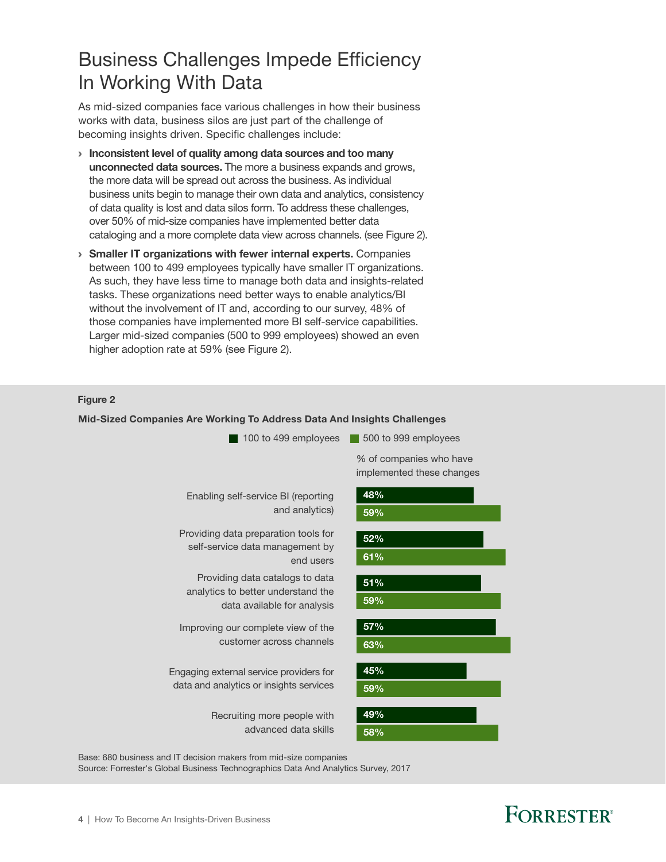### Business Challenges Impede Efficiency In Working With Data

As mid-sized companies face various challenges in how their business works with data, business silos are just part of the challenge of becoming insights driven. Specific challenges include:

- › Inconsistent level of quality among data sources and too many unconnected data sources. The more a business expands and grows, the more data will be spread out across the business. As individual business units begin to manage their own data and analytics, consistency of data quality is lost and data silos form. To address these challenges, over 50% of mid-size companies have implemented better data cataloging and a more complete data view across channels. (see Figure 2).
- › Smaller IT organizations with fewer internal experts. Companies between 100 to 499 employees typically have smaller IT organizations. As such, they have less time to manage both data and insights-related tasks. These organizations need better ways to enable analytics/BI without the involvement of IT and, according to our survey, 48% of those companies have implemented more BI self-service capabilities. Larger mid-sized companies (500 to 999 employees) showed an even higher adoption rate at 59% (see Figure 2).

#### Figure 2

#### Mid-Sized Companies Are Working To Address Data And Insights Challenges



Base: 680 business and IT decision makers from mid-size companies

Source: Forrester's Global Business Technographics Data And Analytics Survey, 2017

## **FORRESTER®**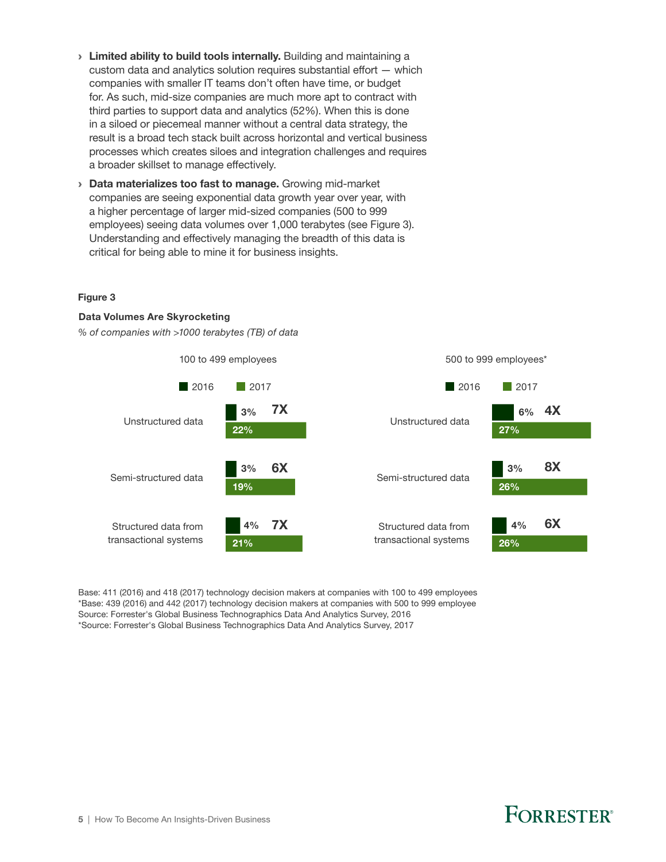- > Limited ability to build tools internally. Building and maintaining a custom data and analytics solution requires substantial effort — which companies with smaller IT teams don't often have time, or budget for. As such, mid-size companies are much more apt to contract with third parties to support data and analytics (52%). When this is done in a siloed or piecemeal manner without a central data strategy, the result is a broad tech stack built across horizontal and vertical business processes which creates siloes and integration challenges and requires a broader skillset to manage effectively.
- › Data materializes too fast to manage. Growing mid-market companies are seeing exponential data growth year over year, with a higher percentage of larger mid-sized companies (500 to 999 employees) seeing data volumes over 1,000 terabytes (see Figure 3). Understanding and effectively managing the breadth of this data is critical for being able to mine it for business insights.

#### Figure 3

#### Data Volumes Are Skyrocketing

*% of companies with >1000 terabytes (TB) of data*



Base: 411 (2016) and 418 (2017) technology decision makers at companies with 100 to 499 employees \*Base: 439 (2016) and 442 (2017) technology decision makers at companies with 500 to 999 employee Source: Forrester's Global Business Technographics Data And Analytics Survey, 2016 \*Source: Forrester's Global Business Technographics Data And Analytics Survey, 2017

### **FORRESTER**®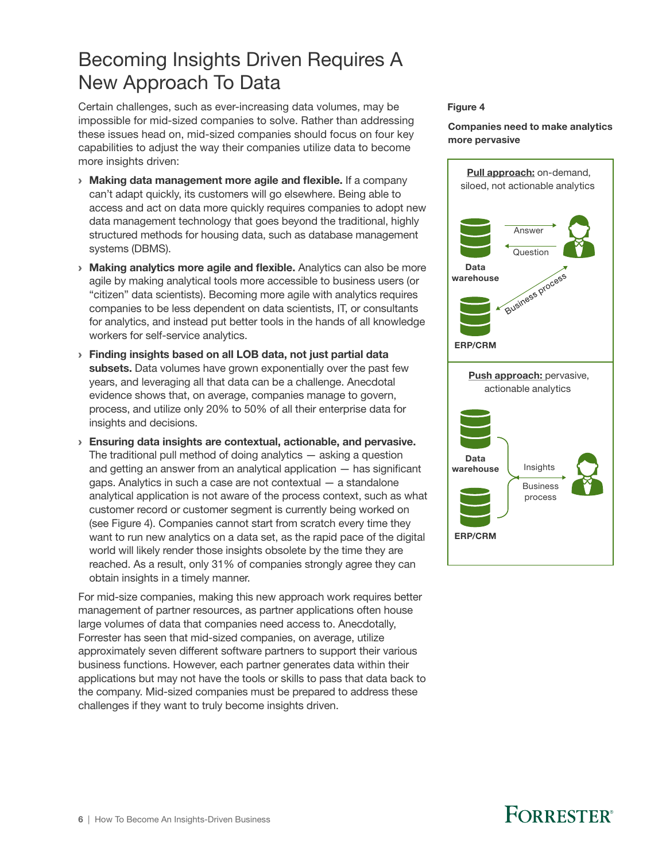### Becoming Insights Driven Requires A New Approach To Data

Certain challenges, such as ever-increasing data volumes, may be impossible for mid-sized companies to solve. Rather than addressing these issues head on, mid-sized companies should focus on four key capabilities to adjust the way their companies utilize data to become more insights driven:

- › Making data management more agile and flexible. If a company can't adapt quickly, its customers will go elsewhere. Being able to access and act on data more quickly requires companies to adopt new data management technology that goes beyond the traditional, highly structured methods for housing data, such as database management systems (DBMS).
- › Making analytics more agile and flexible. Analytics can also be more agile by making analytical tools more accessible to business users (or "citizen" data scientists). Becoming more agile with analytics requires companies to be less dependent on data scientists, IT, or consultants for analytics, and instead put better tools in the hands of all knowledge workers for self-service analytics.
- › Finding insights based on all LOB data, not just partial data subsets. Data volumes have grown exponentially over the past few years, and leveraging all that data can be a challenge. Anecdotal evidence shows that, on average, companies manage to govern, process, and utilize only 20% to 50% of all their enterprise data for insights and decisions.
- › Ensuring data insights are contextual, actionable, and pervasive. The traditional pull method of doing analytics — asking a question and getting an answer from an analytical application — has significant gaps. Analytics in such a case are not contextual — a standalone analytical application is not aware of the process context, such as what customer record or customer segment is currently being worked on (see Figure 4). Companies cannot start from scratch every time they want to run new analytics on a data set, as the rapid pace of the digital world will likely render those insights obsolete by the time they are reached. As a result, only 31% of companies strongly agree they can obtain insights in a timely manner.

For mid-size companies, making this new approach work requires better management of partner resources, as partner applications often house large volumes of data that companies need access to. Anecdotally, Forrester has seen that mid-sized companies, on average, utilize approximately seven different software partners to support their various business functions. However, each partner generates data within their applications but may not have the tools or skills to pass that data back to the company. Mid-sized companies must be prepared to address these challenges if they want to truly become insights driven.

#### Figure 4

Companies need to make analytics more pervasive